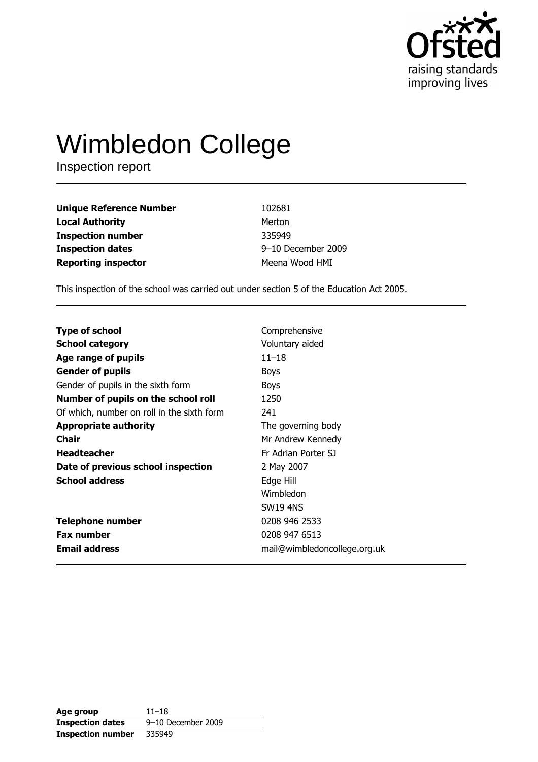

# **Wimbledon College**

Inspection report

| <b>Unique Reference Number</b> | 102681             |
|--------------------------------|--------------------|
| <b>Local Authority</b>         | Merton             |
| <b>Inspection number</b>       | 335949             |
| <b>Inspection dates</b>        | 9-10 December 2009 |
| <b>Reporting inspector</b>     | Meena Wood HMI     |

This inspection of the school was carried out under section 5 of the Education Act 2005.

| <b>Type of school</b><br><b>School category</b><br>Age range of pupils<br><b>Gender of pupils</b> | Comprehensive<br>Voluntary aided<br>$11 - 18$<br><b>Boys</b> |
|---------------------------------------------------------------------------------------------------|--------------------------------------------------------------|
| Gender of pupils in the sixth form                                                                | <b>Boys</b>                                                  |
| Number of pupils on the school roll                                                               | 1250                                                         |
| Of which, number on roll in the sixth form                                                        | 241                                                          |
| <b>Appropriate authority</b>                                                                      | The governing body                                           |
| <b>Chair</b>                                                                                      | Mr Andrew Kennedy                                            |
| <b>Headteacher</b>                                                                                | Fr Adrian Porter SJ                                          |
| Date of previous school inspection                                                                | 2 May 2007                                                   |
| <b>School address</b>                                                                             | Edge Hill                                                    |
|                                                                                                   | Wimbledon                                                    |
|                                                                                                   | <b>SW19 4NS</b>                                              |
| <b>Telephone number</b>                                                                           | 0208 946 2533                                                |
| <b>Fax number</b>                                                                                 | 0208 947 6513                                                |
| <b>Email address</b>                                                                              | mail@wimbledoncollege.org.uk                                 |

| Age group                | $11 - 18$          |
|--------------------------|--------------------|
| <b>Inspection dates</b>  | 9-10 December 2009 |
| <b>Inspection number</b> | 335949             |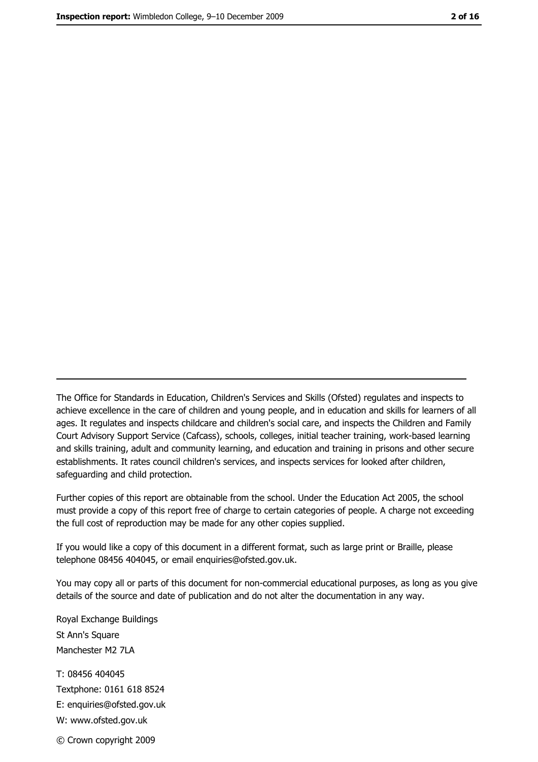The Office for Standards in Education, Children's Services and Skills (Ofsted) regulates and inspects to achieve excellence in the care of children and young people, and in education and skills for learners of all ages. It regulates and inspects childcare and children's social care, and inspects the Children and Family Court Advisory Support Service (Cafcass), schools, colleges, initial teacher training, work-based learning and skills training, adult and community learning, and education and training in prisons and other secure establishments. It rates council children's services, and inspects services for looked after children, safequarding and child protection.

Further copies of this report are obtainable from the school. Under the Education Act 2005, the school must provide a copy of this report free of charge to certain categories of people. A charge not exceeding the full cost of reproduction may be made for any other copies supplied.

If you would like a copy of this document in a different format, such as large print or Braille, please telephone 08456 404045, or email enquiries@ofsted.gov.uk.

You may copy all or parts of this document for non-commercial educational purposes, as long as you give details of the source and date of publication and do not alter the documentation in any way.

Royal Exchange Buildings St Ann's Square Manchester M2 7LA T: 08456 404045 Textphone: 0161 618 8524 E: enquiries@ofsted.gov.uk W: www.ofsted.gov.uk © Crown copyright 2009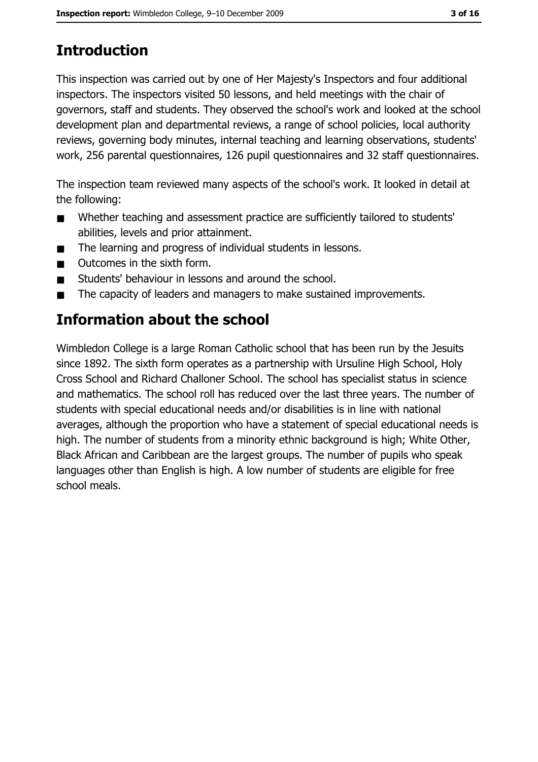# **Introduction**

This inspection was carried out by one of Her Majesty's Inspectors and four additional inspectors. The inspectors visited 50 lessons, and held meetings with the chair of governors, staff and students. They observed the school's work and looked at the school development plan and departmental reviews, a range of school policies, local authority reviews, governing body minutes, internal teaching and learning observations, students' work, 256 parental questionnaires, 126 pupil questionnaires and 32 staff questionnaires.

The inspection team reviewed many aspects of the school's work. It looked in detail at the following:

- Whether teaching and assessment practice are sufficiently tailored to students'  $\blacksquare$ abilities, levels and prior attainment.
- The learning and progress of individual students in lessons.  $\blacksquare$
- Outcomes in the sixth form.  $\blacksquare$
- Students' behaviour in lessons and around the school.  $\blacksquare$
- The capacity of leaders and managers to make sustained improvements.  $\blacksquare$

## **Information about the school**

Wimbledon College is a large Roman Catholic school that has been run by the Jesuits since 1892. The sixth form operates as a partnership with Ursuline High School, Holy Cross School and Richard Challoner School. The school has specialist status in science and mathematics. The school roll has reduced over the last three years. The number of students with special educational needs and/or disabilities is in line with national averages, although the proportion who have a statement of special educational needs is high. The number of students from a minority ethnic background is high; White Other, Black African and Caribbean are the largest groups. The number of pupils who speak languages other than English is high. A low number of students are eligible for free school meals.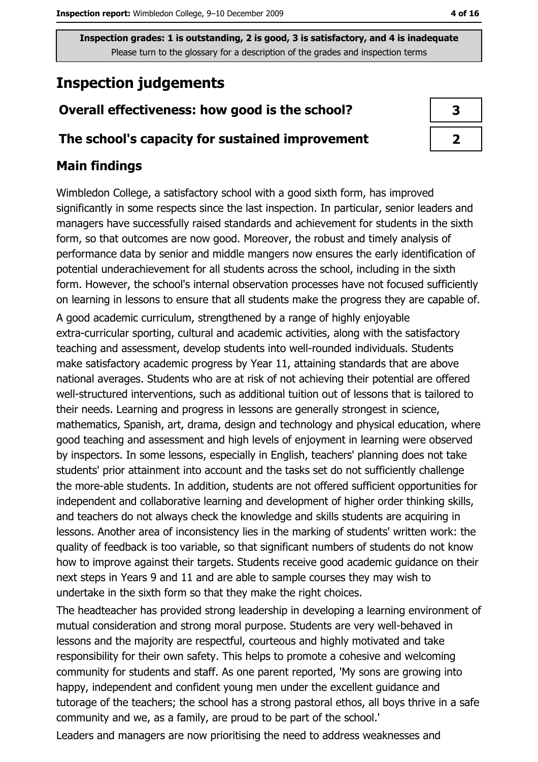## **Inspection judgements**

## Overall effectiveness: how good is the school?

#### The school's capacity for sustained improvement

#### **Main findings**

Wimbledon College, a satisfactory school with a good sixth form, has improved significantly in some respects since the last inspection. In particular, senior leaders and managers have successfully raised standards and achievement for students in the sixth form, so that outcomes are now good. Moreover, the robust and timely analysis of performance data by senior and middle mangers now ensures the early identification of potential underachievement for all students across the school, including in the sixth form. However, the school's internal observation processes have not focused sufficiently on learning in lessons to ensure that all students make the progress they are capable of.

A good academic curriculum, strengthened by a range of highly enjoyable extra-curricular sporting, cultural and academic activities, along with the satisfactory teaching and assessment, develop students into well-rounded individuals. Students make satisfactory academic progress by Year 11, attaining standards that are above national averages. Students who are at risk of not achieving their potential are offered well-structured interventions, such as additional tuition out of lessons that is tailored to their needs. Learning and progress in lessons are generally strongest in science, mathematics, Spanish, art, drama, design and technology and physical education, where good teaching and assessment and high levels of enjoyment in learning were observed by inspectors. In some lessons, especially in English, teachers' planning does not take students' prior attainment into account and the tasks set do not sufficiently challenge the more-able students. In addition, students are not offered sufficient opportunities for independent and collaborative learning and development of higher order thinking skills, and teachers do not always check the knowledge and skills students are acquiring in lessons. Another area of inconsistency lies in the marking of students' written work: the quality of feedback is too variable, so that significant numbers of students do not know how to improve against their targets. Students receive good academic guidance on their next steps in Years 9 and 11 and are able to sample courses they may wish to undertake in the sixth form so that they make the right choices.

The headteacher has provided strong leadership in developing a learning environment of mutual consideration and strong moral purpose. Students are very well-behaved in lessons and the majority are respectful, courteous and highly motivated and take responsibility for their own safety. This helps to promote a cohesive and welcoming community for students and staff. As one parent reported, 'My sons are growing into happy, independent and confident young men under the excellent guidance and tutorage of the teachers; the school has a strong pastoral ethos, all boys thrive in a safe community and we, as a family, are proud to be part of the school.'

Leaders and managers are now prioritising the need to address weaknesses and

| 3 |
|---|
| J |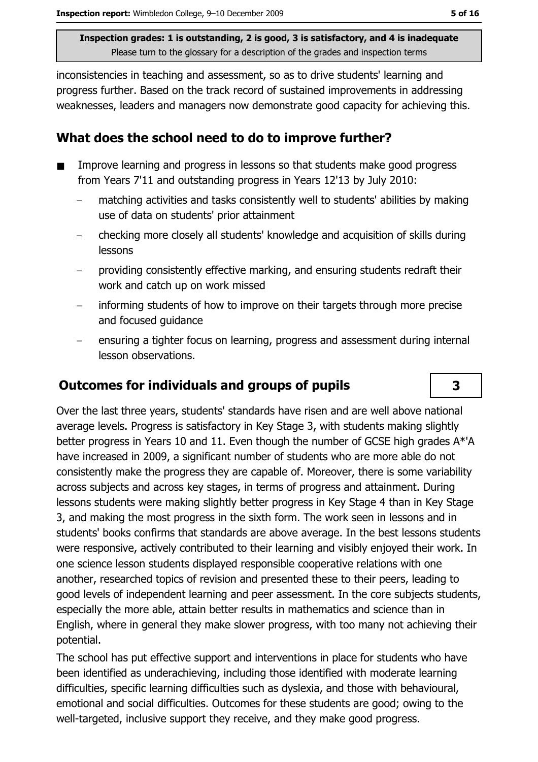inconsistencies in teaching and assessment, so as to drive students' learning and progress further. Based on the track record of sustained improvements in addressing weaknesses, leaders and managers now demonstrate good capacity for achieving this.

#### What does the school need to do to improve further?

- Improve learning and progress in lessons so that students make good progress  $\blacksquare$ from Years 7'11 and outstanding progress in Years 12'13 by July 2010:
	- matching activities and tasks consistently well to students' abilities by making use of data on students' prior attainment
	- checking more closely all students' knowledge and acquisition of skills during lessons
	- providing consistently effective marking, and ensuring students redraft their work and catch up on work missed
	- informing students of how to improve on their targets through more precise and focused quidance
	- ensuring a tighter focus on learning, progress and assessment during internal lesson observations.

## **Outcomes for individuals and groups of pupils**

Over the last three years, students' standards have risen and are well above national average levels. Progress is satisfactory in Key Stage 3, with students making slightly better progress in Years 10 and 11. Even though the number of GCSE high grades A\*'A have increased in 2009, a significant number of students who are more able do not consistently make the progress they are capable of. Moreover, there is some variability across subjects and across key stages, in terms of progress and attainment. During lessons students were making slightly better progress in Key Stage 4 than in Key Stage 3, and making the most progress in the sixth form. The work seen in lessons and in students' books confirms that standards are above average. In the best lessons students were responsive, actively contributed to their learning and visibly enjoyed their work. In one science lesson students displayed responsible cooperative relations with one another, researched topics of revision and presented these to their peers, leading to good levels of independent learning and peer assessment. In the core subjects students, especially the more able, attain better results in mathematics and science than in English, where in general they make slower progress, with too many not achieving their potential.

The school has put effective support and interventions in place for students who have been identified as underachieving, including those identified with moderate learning difficulties, specific learning difficulties such as dyslexia, and those with behavioural, emotional and social difficulties. Outcomes for these students are good; owing to the well-targeted, inclusive support they receive, and they make good progress.

 $\overline{\mathbf{3}}$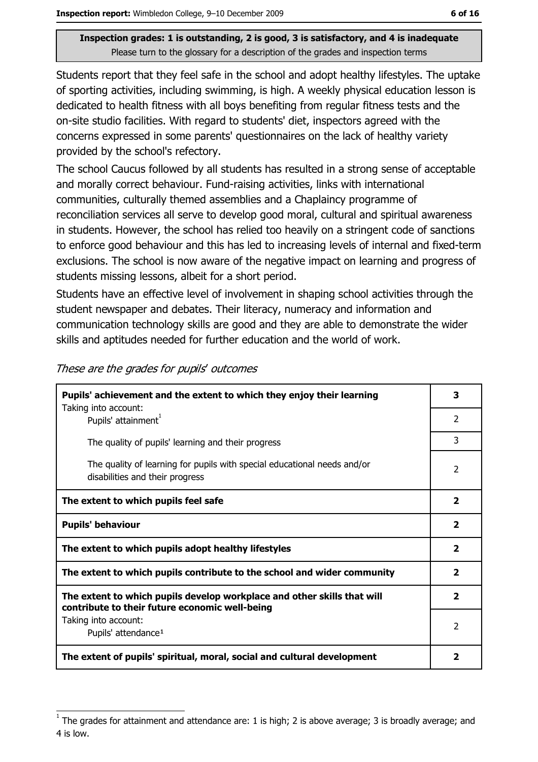Students report that they feel safe in the school and adopt healthy lifestyles. The uptake of sporting activities, including swimming, is high. A weekly physical education lesson is dedicated to health fitness with all boys benefiting from regular fitness tests and the on-site studio facilities. With regard to students' diet, inspectors agreed with the concerns expressed in some parents' questionnaires on the lack of healthy variety provided by the school's refectory.

The school Caucus followed by all students has resulted in a strong sense of acceptable and morally correct behaviour. Fund-raising activities, links with international communities, culturally themed assemblies and a Chaplaincy programme of reconciliation services all serve to develop good moral, cultural and spiritual awareness in students. However, the school has relied too heavily on a stringent code of sanctions to enforce good behaviour and this has led to increasing levels of internal and fixed-term exclusions. The school is now aware of the negative impact on learning and progress of students missing lessons, albeit for a short period.

Students have an effective level of involvement in shaping school activities through the student newspaper and debates. Their literacy, numeracy and information and communication technology skills are good and they are able to demonstrate the wider skills and aptitudes needed for further education and the world of work.

| Pupils' achievement and the extent to which they enjoy their learning<br>Taking into account:                             | 3              |
|---------------------------------------------------------------------------------------------------------------------------|----------------|
| Pupils' attainment <sup>1</sup>                                                                                           | 2              |
| The quality of pupils' learning and their progress                                                                        | 3              |
| The quality of learning for pupils with special educational needs and/or<br>disabilities and their progress               | $\overline{2}$ |
| The extent to which pupils feel safe                                                                                      | 2              |
| <b>Pupils' behaviour</b>                                                                                                  |                |
| The extent to which pupils adopt healthy lifestyles                                                                       |                |
| The extent to which pupils contribute to the school and wider community                                                   |                |
| The extent to which pupils develop workplace and other skills that will<br>contribute to their future economic well-being | $\mathbf{z}$   |
| Taking into account:<br>Pupils' attendance <sup>1</sup>                                                                   | 2              |
| The extent of pupils' spiritual, moral, social and cultural development                                                   |                |

These are the grades for pupils' outcomes

The grades for attainment and attendance are: 1 is high; 2 is above average; 3 is broadly average; and 4 is low.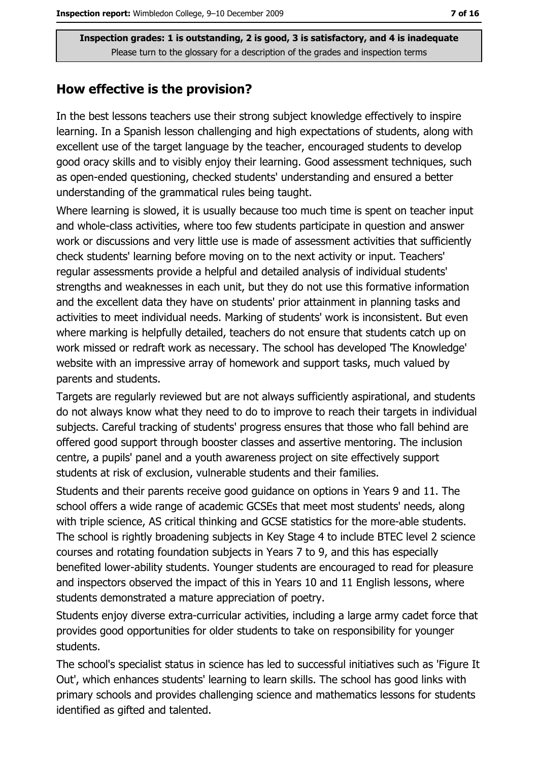#### How effective is the provision?

In the best lessons teachers use their strong subject knowledge effectively to inspire learning. In a Spanish lesson challenging and high expectations of students, along with excellent use of the target language by the teacher, encouraged students to develop good oracy skills and to visibly enjoy their learning. Good assessment techniques, such as open-ended questioning, checked students' understanding and ensured a better understanding of the grammatical rules being taught.

Where learning is slowed, it is usually because too much time is spent on teacher input and whole-class activities, where too few students participate in question and answer work or discussions and very little use is made of assessment activities that sufficiently check students' learning before moving on to the next activity or input. Teachers' regular assessments provide a helpful and detailed analysis of individual students' strengths and weaknesses in each unit, but they do not use this formative information and the excellent data they have on students' prior attainment in planning tasks and activities to meet individual needs. Marking of students' work is inconsistent. But even where marking is helpfully detailed, teachers do not ensure that students catch up on work missed or redraft work as necessary. The school has developed The Knowledge' website with an impressive array of homework and support tasks, much valued by parents and students.

Targets are regularly reviewed but are not always sufficiently aspirational, and students do not always know what they need to do to improve to reach their targets in individual subjects. Careful tracking of students' progress ensures that those who fall behind are offered good support through booster classes and assertive mentoring. The inclusion centre, a pupils' panel and a youth awareness project on site effectively support students at risk of exclusion, vulnerable students and their families.

Students and their parents receive good guidance on options in Years 9 and 11. The school offers a wide range of academic GCSEs that meet most students' needs, along with triple science, AS critical thinking and GCSE statistics for the more-able students. The school is rightly broadening subjects in Key Stage 4 to include BTEC level 2 science courses and rotating foundation subjects in Years 7 to 9, and this has especially benefited lower-ability students. Younger students are encouraged to read for pleasure and inspectors observed the impact of this in Years 10 and 11 English lessons, where students demonstrated a mature appreciation of poetry.

Students enjoy diverse extra-curricular activities, including a large army cadet force that provides good opportunities for older students to take on responsibility for younger students.

The school's specialist status in science has led to successful initiatives such as 'Figure It' Out', which enhances students' learning to learn skills. The school has good links with primary schools and provides challenging science and mathematics lessons for students identified as gifted and talented.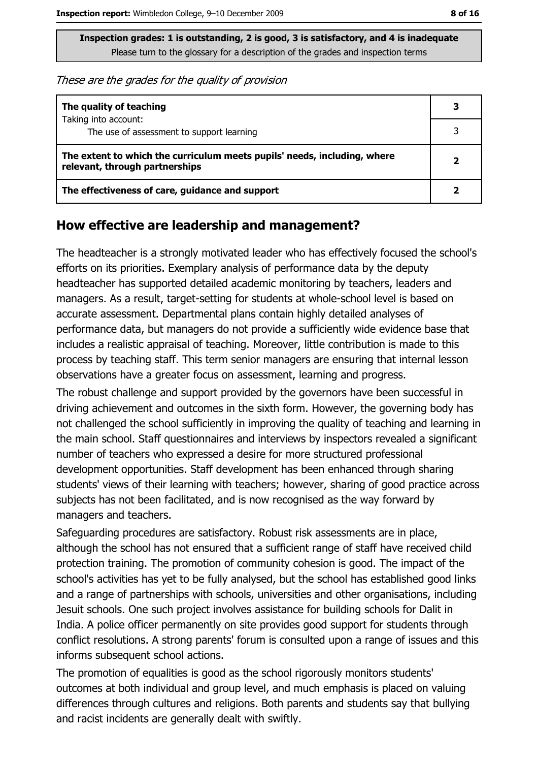These are the grades for the quality of provision

| The quality of teaching                                                                                    | 3 |
|------------------------------------------------------------------------------------------------------------|---|
| Taking into account:<br>The use of assessment to support learning                                          |   |
| The extent to which the curriculum meets pupils' needs, including, where<br>relevant, through partnerships |   |
| The effectiveness of care, guidance and support                                                            |   |

#### How effective are leadership and management?

The headteacher is a strongly motivated leader who has effectively focused the school's efforts on its priorities. Exemplary analysis of performance data by the deputy headteacher has supported detailed academic monitoring by teachers, leaders and managers. As a result, target-setting for students at whole-school level is based on accurate assessment. Departmental plans contain highly detailed analyses of performance data, but managers do not provide a sufficiently wide evidence base that includes a realistic appraisal of teaching. Moreover, little contribution is made to this process by teaching staff. This term senior managers are ensuring that internal lesson observations have a greater focus on assessment, learning and progress.

The robust challenge and support provided by the governors have been successful in driving achievement and outcomes in the sixth form. However, the governing body has not challenged the school sufficiently in improving the quality of teaching and learning in the main school. Staff questionnaires and interviews by inspectors revealed a significant number of teachers who expressed a desire for more structured professional development opportunities. Staff development has been enhanced through sharing students' views of their learning with teachers; however, sharing of good practice across subjects has not been facilitated, and is now recognised as the way forward by managers and teachers.

Safeguarding procedures are satisfactory. Robust risk assessments are in place, although the school has not ensured that a sufficient range of staff have received child protection training. The promotion of community cohesion is good. The impact of the school's activities has yet to be fully analysed, but the school has established good links and a range of partnerships with schools, universities and other organisations, including Jesuit schools. One such project involves assistance for building schools for Dalit in India. A police officer permanently on site provides good support for students through conflict resolutions. A strong parents' forum is consulted upon a range of issues and this informs subsequent school actions.

The promotion of equalities is good as the school rigorously monitors students' outcomes at both individual and group level, and much emphasis is placed on valuing differences through cultures and religions. Both parents and students say that bullying and racist incidents are generally dealt with swiftly.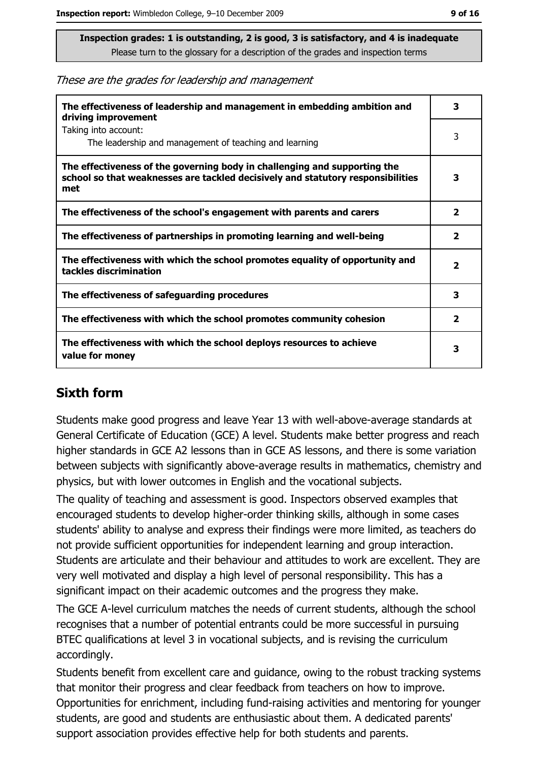These are the grades for leadership and management

| The effectiveness of leadership and management in embedding ambition and<br>driving improvement                                                                     | з                       |
|---------------------------------------------------------------------------------------------------------------------------------------------------------------------|-------------------------|
| Taking into account:<br>The leadership and management of teaching and learning                                                                                      | 3                       |
| The effectiveness of the governing body in challenging and supporting the<br>school so that weaknesses are tackled decisively and statutory responsibilities<br>met | 3                       |
| The effectiveness of the school's engagement with parents and carers                                                                                                | $\overline{\mathbf{2}}$ |
| The effectiveness of partnerships in promoting learning and well-being                                                                                              | 2                       |
| The effectiveness with which the school promotes equality of opportunity and<br>tackles discrimination                                                              | $\overline{\mathbf{2}}$ |
| The effectiveness of safeguarding procedures                                                                                                                        | 3                       |
| The effectiveness with which the school promotes community cohesion                                                                                                 | $\mathbf{2}$            |
| The effectiveness with which the school deploys resources to achieve<br>value for money                                                                             | 3                       |

#### **Sixth form**

Students make good progress and leave Year 13 with well-above-average standards at General Certificate of Education (GCE) A level. Students make better progress and reach higher standards in GCE A2 lessons than in GCE AS lessons, and there is some variation between subjects with significantly above-average results in mathematics, chemistry and physics, but with lower outcomes in English and the vocational subjects.

The quality of teaching and assessment is good. Inspectors observed examples that encouraged students to develop higher-order thinking skills, although in some cases students' ability to analyse and express their findings were more limited, as teachers do not provide sufficient opportunities for independent learning and group interaction. Students are articulate and their behaviour and attitudes to work are excellent. They are very well motivated and display a high level of personal responsibility. This has a significant impact on their academic outcomes and the progress they make.

The GCE A-level curriculum matches the needs of current students, although the school recognises that a number of potential entrants could be more successful in pursuing BTEC qualifications at level 3 in vocational subjects, and is revising the curriculum accordingly.

Students benefit from excellent care and guidance, owing to the robust tracking systems that monitor their progress and clear feedback from teachers on how to improve. Opportunities for enrichment, including fund-raising activities and mentoring for younger students, are good and students are enthusiastic about them. A dedicated parents' support association provides effective help for both students and parents.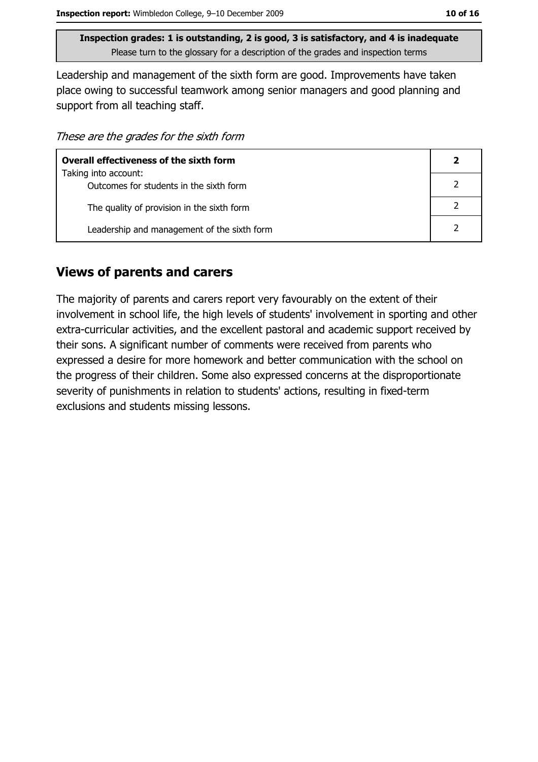Leadership and management of the sixth form are good. Improvements have taken place owing to successful teamwork among senior managers and good planning and support from all teaching staff.

These are the grades for the sixth form

| <b>Overall effectiveness of the sixth form</b> |  |  |
|------------------------------------------------|--|--|
| Taking into account:                           |  |  |
| Outcomes for students in the sixth form        |  |  |
| The quality of provision in the sixth form     |  |  |
| Leadership and management of the sixth form    |  |  |

#### **Views of parents and carers**

The majority of parents and carers report very favourably on the extent of their involvement in school life, the high levels of students' involvement in sporting and other extra-curricular activities, and the excellent pastoral and academic support received by their sons. A significant number of comments were received from parents who expressed a desire for more homework and better communication with the school on the progress of their children. Some also expressed concerns at the disproportionate severity of punishments in relation to students' actions, resulting in fixed-term exclusions and students missing lessons.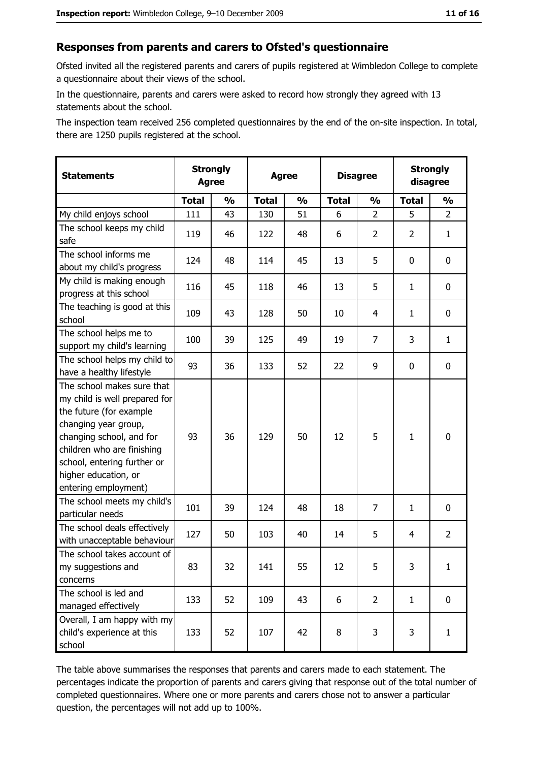#### Responses from parents and carers to Ofsted's questionnaire

Ofsted invited all the registered parents and carers of pupils registered at Wimbledon College to complete a questionnaire about their views of the school.

In the questionnaire, parents and carers were asked to record how strongly they agreed with 13 statements about the school.

The inspection team received 256 completed questionnaires by the end of the on-site inspection. In total, there are 1250 pupils registered at the school.

| <b>Statements</b>                                                                                                                                                                                                                                       | <b>Strongly</b><br><b>Agree</b> |               | <b>Agree</b> |               |              | <b>Disagree</b> |                | <b>Strongly</b><br>disagree |  |
|---------------------------------------------------------------------------------------------------------------------------------------------------------------------------------------------------------------------------------------------------------|---------------------------------|---------------|--------------|---------------|--------------|-----------------|----------------|-----------------------------|--|
|                                                                                                                                                                                                                                                         | <b>Total</b>                    | $\frac{1}{2}$ | <b>Total</b> | $\frac{0}{0}$ | <b>Total</b> | $\frac{1}{2}$   | <b>Total</b>   | $\frac{1}{2}$               |  |
| My child enjoys school                                                                                                                                                                                                                                  | 111                             | 43            | 130          | 51            | 6            | $\overline{2}$  | 5              | $\overline{2}$              |  |
| The school keeps my child<br>safe                                                                                                                                                                                                                       | 119                             | 46            | 122          | 48            | 6            | $\overline{2}$  | $\overline{2}$ | $\mathbf{1}$                |  |
| The school informs me<br>about my child's progress                                                                                                                                                                                                      | 124                             | 48            | 114          | 45            | 13           | 5               | 0              | 0                           |  |
| My child is making enough<br>progress at this school                                                                                                                                                                                                    | 116                             | 45            | 118          | 46            | 13           | 5               | 1              | 0                           |  |
| The teaching is good at this<br>school                                                                                                                                                                                                                  | 109                             | 43            | 128          | 50            | 10           | 4               | 1              | 0                           |  |
| The school helps me to<br>support my child's learning                                                                                                                                                                                                   | 100                             | 39            | 125          | 49            | 19           | $\overline{7}$  | 3              | $\mathbf{1}$                |  |
| The school helps my child to<br>have a healthy lifestyle                                                                                                                                                                                                | 93                              | 36            | 133          | 52            | 22           | 9               | 0              | $\mathbf 0$                 |  |
| The school makes sure that<br>my child is well prepared for<br>the future (for example<br>changing year group,<br>changing school, and for<br>children who are finishing<br>school, entering further or<br>higher education, or<br>entering employment) | 93                              | 36            | 129          | 50            | 12           | 5               | $\mathbf{1}$   | $\mathbf 0$                 |  |
| The school meets my child's<br>particular needs                                                                                                                                                                                                         | 101                             | 39            | 124          | 48            | 18           | 7               | 1              | 0                           |  |
| The school deals effectively<br>with unacceptable behaviour                                                                                                                                                                                             | 127                             | 50            | 103          | 40            | 14           | 5               | 4              | $\overline{2}$              |  |
| The school takes account of<br>my suggestions and<br>concerns                                                                                                                                                                                           | 83                              | 32            | 141          | 55            | 12           | 5               | 3              | $\mathbf{1}$                |  |
| The school is led and<br>managed effectively                                                                                                                                                                                                            | 133                             | 52            | 109          | 43            | 6            | $\overline{2}$  | $\mathbf{1}$   | $\mathbf 0$                 |  |
| Overall, I am happy with my<br>child's experience at this<br>school                                                                                                                                                                                     | 133                             | 52            | 107          | 42            | 8            | 3               | 3              | $\mathbf{1}$                |  |

The table above summarises the responses that parents and carers made to each statement. The percentages indicate the proportion of parents and carers giving that response out of the total number of completed questionnaires. Where one or more parents and carers chose not to answer a particular question, the percentages will not add up to 100%.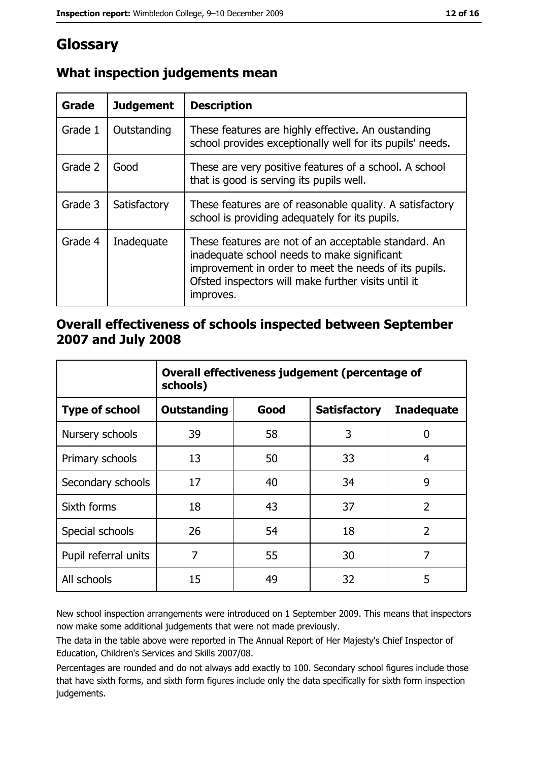## Glossary

| Grade   | <b>Judgement</b> | <b>Description</b>                                                                                                                                                                                                               |
|---------|------------------|----------------------------------------------------------------------------------------------------------------------------------------------------------------------------------------------------------------------------------|
| Grade 1 | Outstanding      | These features are highly effective. An oustanding<br>school provides exceptionally well for its pupils' needs.                                                                                                                  |
| Grade 2 | Good             | These are very positive features of a school. A school<br>that is good is serving its pupils well.                                                                                                                               |
| Grade 3 | Satisfactory     | These features are of reasonable quality. A satisfactory<br>school is providing adequately for its pupils.                                                                                                                       |
| Grade 4 | Inadequate       | These features are not of an acceptable standard. An<br>inadequate school needs to make significant<br>improvement in order to meet the needs of its pupils.<br>Ofsted inspectors will make further visits until it<br>improves. |

## What inspection judgements mean

#### Overall effectiveness of schools inspected between September 2007 and July 2008

|                       | Overall effectiveness judgement (percentage of<br>schools) |      |                     |                   |
|-----------------------|------------------------------------------------------------|------|---------------------|-------------------|
| <b>Type of school</b> | <b>Outstanding</b>                                         | Good | <b>Satisfactory</b> | <b>Inadequate</b> |
| Nursery schools       | 39                                                         | 58   | 3                   | 0                 |
| Primary schools       | 13                                                         | 50   | 33                  | 4                 |
| Secondary schools     | 17                                                         | 40   | 34                  | 9                 |
| Sixth forms           | 18                                                         | 43   | 37                  | $\overline{2}$    |
| Special schools       | 26                                                         | 54   | 18                  | $\overline{2}$    |
| Pupil referral units  | 7                                                          | 55   | 30                  | 7                 |
| All schools           | 15                                                         | 49   | 32                  | 5                 |

New school inspection arrangements were introduced on 1 September 2009. This means that inspectors now make some additional judgements that were not made previously.

The data in the table above were reported in The Annual Report of Her Majesty's Chief Inspector of Education, Children's Services and Skills 2007/08.

Percentages are rounded and do not always add exactly to 100. Secondary school figures include those that have sixth forms, and sixth form figures include only the data specifically for sixth form inspection judgements.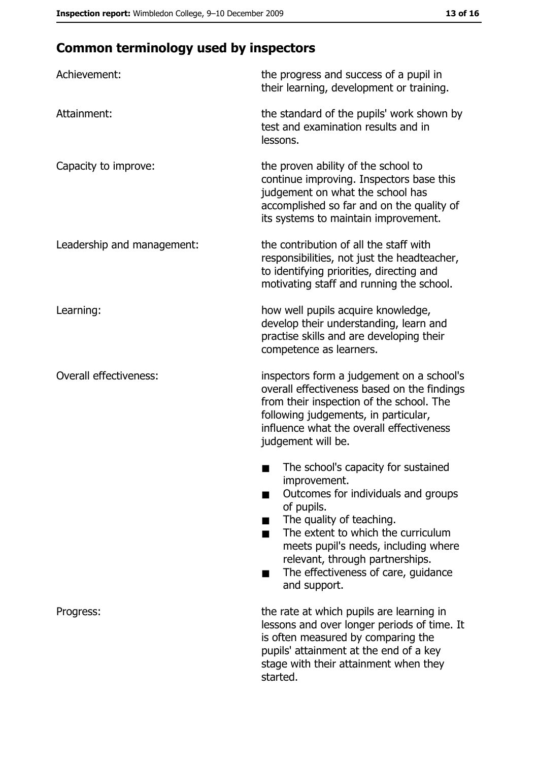# **Common terminology used by inspectors**

| Achievement:                  | the progress and success of a pupil in<br>their learning, development or training.                                                                                                                                                                                                                           |
|-------------------------------|--------------------------------------------------------------------------------------------------------------------------------------------------------------------------------------------------------------------------------------------------------------------------------------------------------------|
| Attainment:                   | the standard of the pupils' work shown by<br>test and examination results and in<br>lessons.                                                                                                                                                                                                                 |
| Capacity to improve:          | the proven ability of the school to<br>continue improving. Inspectors base this<br>judgement on what the school has<br>accomplished so far and on the quality of<br>its systems to maintain improvement.                                                                                                     |
| Leadership and management:    | the contribution of all the staff with<br>responsibilities, not just the headteacher,<br>to identifying priorities, directing and<br>motivating staff and running the school.                                                                                                                                |
| Learning:                     | how well pupils acquire knowledge,<br>develop their understanding, learn and<br>practise skills and are developing their<br>competence as learners.                                                                                                                                                          |
| <b>Overall effectiveness:</b> | inspectors form a judgement on a school's<br>overall effectiveness based on the findings<br>from their inspection of the school. The<br>following judgements, in particular,<br>influence what the overall effectiveness<br>judgement will be.                                                               |
|                               | The school's capacity for sustained<br>improvement.<br>Outcomes for individuals and groups<br>of pupils.<br>The quality of teaching.<br>The extent to which the curriculum<br>meets pupil's needs, including where<br>relevant, through partnerships.<br>The effectiveness of care, guidance<br>and support. |
| Progress:                     | the rate at which pupils are learning in<br>lessons and over longer periods of time. It<br>is often measured by comparing the<br>pupils' attainment at the end of a key<br>stage with their attainment when they<br>started.                                                                                 |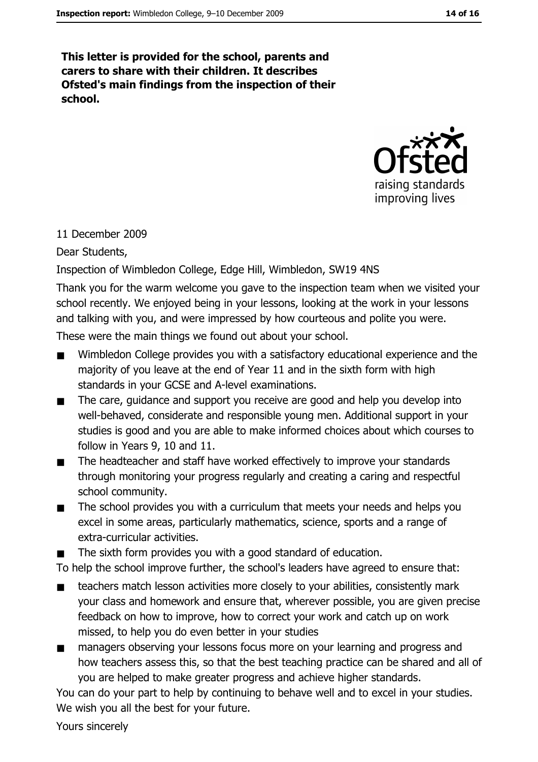This letter is provided for the school, parents and carers to share with their children. It describes Ofsted's main findings from the inspection of their school.



#### 11 December 2009

Dear Students,

Inspection of Wimbledon College, Edge Hill, Wimbledon, SW19 4NS

Thank you for the warm welcome you gave to the inspection team when we visited your school recently. We enjoyed being in your lessons, looking at the work in your lessons and talking with you, and were impressed by how courteous and polite you were.

These were the main things we found out about your school.

- Wimbledon College provides you with a satisfactory educational experience and the  $\blacksquare$ majority of you leave at the end of Year 11 and in the sixth form with high standards in your GCSE and A-level examinations.
- $\blacksquare$ The care, guidance and support you receive are good and help you develop into well-behaved, considerate and responsible young men. Additional support in your studies is good and you are able to make informed choices about which courses to follow in Years 9, 10 and 11.
- The headteacher and staff have worked effectively to improve your standards  $\blacksquare$ through monitoring your progress regularly and creating a caring and respectful school community.
- The school provides you with a curriculum that meets your needs and helps you  $\blacksquare$ excel in some areas, particularly mathematics, science, sports and a range of extra-curricular activities.
- The sixth form provides you with a good standard of education.  $\blacksquare$

To help the school improve further, the school's leaders have agreed to ensure that:

- teachers match lesson activities more closely to your abilities, consistently mark  $\blacksquare$ your class and homework and ensure that, wherever possible, you are given precise feedback on how to improve, how to correct your work and catch up on work missed, to help you do even better in your studies
- managers observing your lessons focus more on your learning and progress and  $\blacksquare$ how teachers assess this, so that the best teaching practice can be shared and all of you are helped to make greater progress and achieve higher standards.

You can do your part to help by continuing to behave well and to excel in your studies. We wish you all the best for your future.

Yours sincerely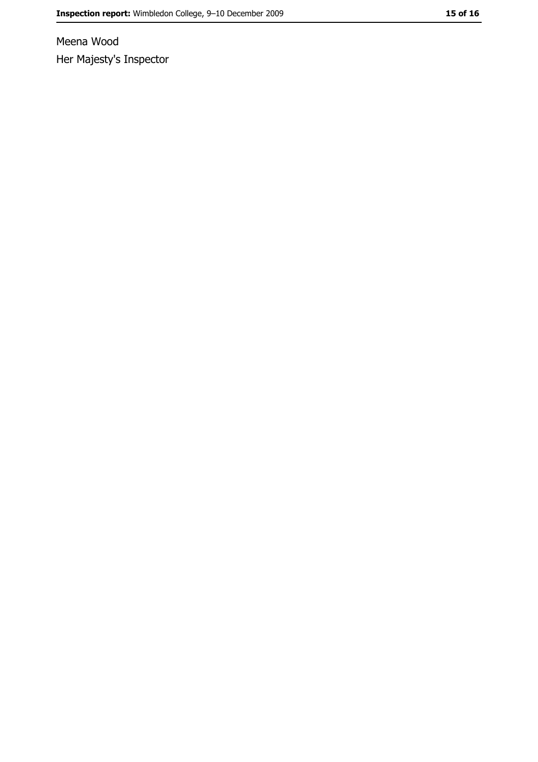Meena Wood Her Majesty's Inspector